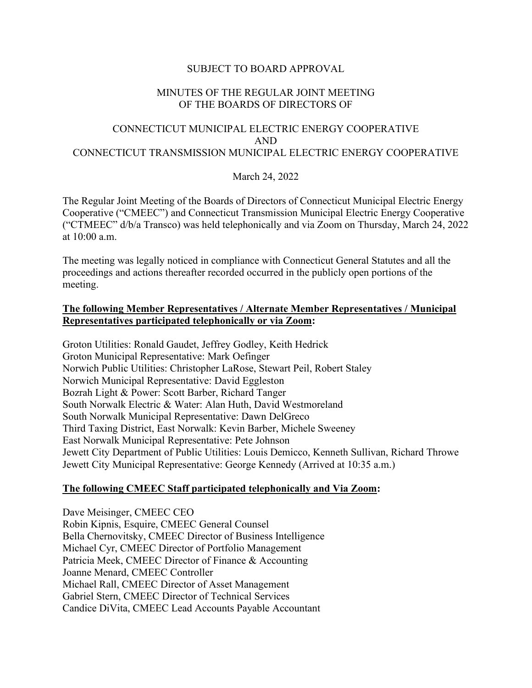# SUBJECT TO BOARD APPROVAL

# MINUTES OF THE REGULAR JOINT MEETING OF THE BOARDS OF DIRECTORS OF

# CONNECTICUT MUNICIPAL ELECTRIC ENERGY COOPERATIVE AND CONNECTICUT TRANSMISSION MUNICIPAL ELECTRIC ENERGY COOPERATIVE

# March 24, 2022

The Regular Joint Meeting of the Boards of Directors of Connecticut Municipal Electric Energy Cooperative ("CMEEC") and Connecticut Transmission Municipal Electric Energy Cooperative ("CTMEEC" d/b/a Transco) was held telephonically and via Zoom on Thursday, March 24, 2022 at 10:00 a.m.

The meeting was legally noticed in compliance with Connecticut General Statutes and all the proceedings and actions thereafter recorded occurred in the publicly open portions of the meeting.

#### **The following Member Representatives / Alternate Member Representatives / Municipal Representatives participated telephonically or via Zoom:**

Groton Utilities: Ronald Gaudet, Jeffrey Godley, Keith Hedrick Groton Municipal Representative: Mark Oefinger Norwich Public Utilities: Christopher LaRose, Stewart Peil, Robert Staley Norwich Municipal Representative: David Eggleston Bozrah Light & Power: Scott Barber, Richard Tanger South Norwalk Electric & Water: Alan Huth, David Westmoreland South Norwalk Municipal Representative: Dawn DelGreco Third Taxing District, East Norwalk: Kevin Barber, Michele Sweeney East Norwalk Municipal Representative: Pete Johnson Jewett City Department of Public Utilities: Louis Demicco, Kenneth Sullivan, Richard Throwe Jewett City Municipal Representative: George Kennedy (Arrived at 10:35 a.m.)

# **The following CMEEC Staff participated telephonically and Via Zoom:**

Dave Meisinger, CMEEC CEO Robin Kipnis, Esquire, CMEEC General Counsel Bella Chernovitsky, CMEEC Director of Business Intelligence Michael Cyr, CMEEC Director of Portfolio Management Patricia Meek, CMEEC Director of Finance & Accounting Joanne Menard, CMEEC Controller Michael Rall, CMEEC Director of Asset Management Gabriel Stern, CMEEC Director of Technical Services Candice DiVita, CMEEC Lead Accounts Payable Accountant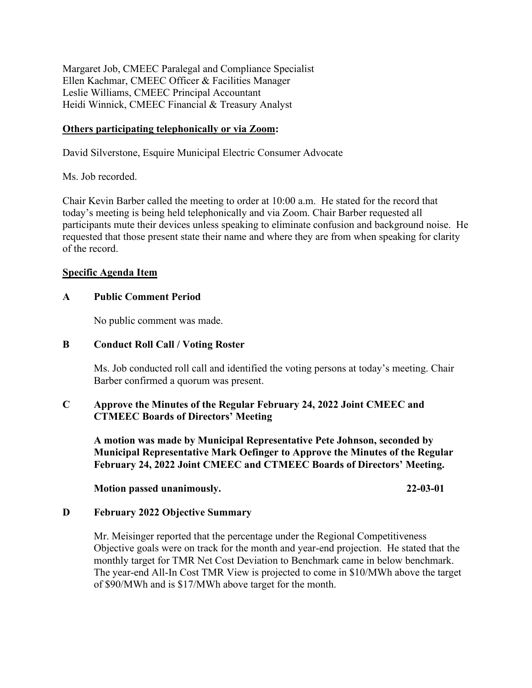Margaret Job, CMEEC Paralegal and Compliance Specialist Ellen Kachmar, CMEEC Officer & Facilities Manager Leslie Williams, CMEEC Principal Accountant Heidi Winnick, CMEEC Financial & Treasury Analyst

# **Others participating telephonically or via Zoom:**

David Silverstone, Esquire Municipal Electric Consumer Advocate

Ms. Job recorded.

Chair Kevin Barber called the meeting to order at 10:00 a.m. He stated for the record that today's meeting is being held telephonically and via Zoom. Chair Barber requested all participants mute their devices unless speaking to eliminate confusion and background noise. He requested that those present state their name and where they are from when speaking for clarity of the record.

#### **Specific Agenda Item**

#### **A Public Comment Period**

No public comment was made.

#### **B Conduct Roll Call / Voting Roster**

Ms. Job conducted roll call and identified the voting persons at today's meeting. Chair Barber confirmed a quorum was present.

# **C Approve the Minutes of the Regular February 24, 2022 Joint CMEEC and CTMEEC Boards of Directors' Meeting**

**A motion was made by Municipal Representative Pete Johnson, seconded by Municipal Representative Mark Oefinger to Approve the Minutes of the Regular February 24, 2022 Joint CMEEC and CTMEEC Boards of Directors' Meeting.** 

**Motion passed unanimously. 22-03-01** 

# **D February 2022 Objective Summary**

Mr. Meisinger reported that the percentage under the Regional Competitiveness Objective goals were on track for the month and year-end projection. He stated that the monthly target for TMR Net Cost Deviation to Benchmark came in below benchmark. The year-end All-In Cost TMR View is projected to come in \$10/MWh above the target of \$90/MWh and is \$17/MWh above target for the month.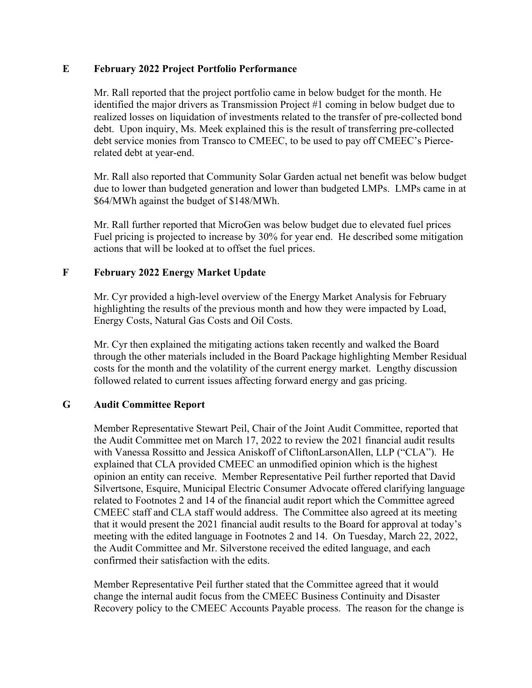# **E February 2022 Project Portfolio Performance**

Mr. Rall reported that the project portfolio came in below budget for the month. He identified the major drivers as Transmission Project #1 coming in below budget due to realized losses on liquidation of investments related to the transfer of pre-collected bond debt. Upon inquiry, Ms. Meek explained this is the result of transferring pre-collected debt service monies from Transco to CMEEC, to be used to pay off CMEEC's Piercerelated debt at year-end.

Mr. Rall also reported that Community Solar Garden actual net benefit was below budget due to lower than budgeted generation and lower than budgeted LMPs. LMPs came in at \$64/MWh against the budget of \$148/MWh.

Mr. Rall further reported that MicroGen was below budget due to elevated fuel prices Fuel pricing is projected to increase by 30% for year end. He described some mitigation actions that will be looked at to offset the fuel prices.

# **F February 2022 Energy Market Update**

Mr. Cyr provided a high-level overview of the Energy Market Analysis for February highlighting the results of the previous month and how they were impacted by Load, Energy Costs, Natural Gas Costs and Oil Costs.

Mr. Cyr then explained the mitigating actions taken recently and walked the Board through the other materials included in the Board Package highlighting Member Residual costs for the month and the volatility of the current energy market. Lengthy discussion followed related to current issues affecting forward energy and gas pricing.

# **G Audit Committee Report**

Member Representative Stewart Peil, Chair of the Joint Audit Committee, reported that the Audit Committee met on March 17, 2022 to review the 2021 financial audit results with Vanessa Rossitto and Jessica Aniskoff of CliftonLarsonAllen, LLP ("CLA"). He explained that CLA provided CMEEC an unmodified opinion which is the highest opinion an entity can receive. Member Representative Peil further reported that David Silvertsone, Esquire, Municipal Electric Consumer Advocate offered clarifying language related to Footnotes 2 and 14 of the financial audit report which the Committee agreed CMEEC staff and CLA staff would address. The Committee also agreed at its meeting that it would present the 2021 financial audit results to the Board for approval at today's meeting with the edited language in Footnotes 2 and 14. On Tuesday, March 22, 2022, the Audit Committee and Mr. Silverstone received the edited language, and each confirmed their satisfaction with the edits.

Member Representative Peil further stated that the Committee agreed that it would change the internal audit focus from the CMEEC Business Continuity and Disaster Recovery policy to the CMEEC Accounts Payable process. The reason for the change is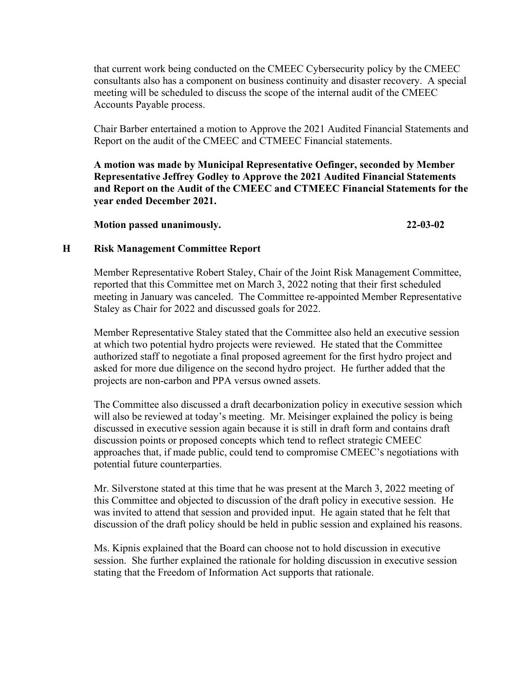that current work being conducted on the CMEEC Cybersecurity policy by the CMEEC consultants also has a component on business continuity and disaster recovery. A special meeting will be scheduled to discuss the scope of the internal audit of the CMEEC Accounts Payable process.

Chair Barber entertained a motion to Approve the 2021 Audited Financial Statements and Report on the audit of the CMEEC and CTMEEC Financial statements.

**A motion was made by Municipal Representative Oefinger, seconded by Member Representative Jeffrey Godley to Approve the 2021 Audited Financial Statements and Report on the Audit of the CMEEC and CTMEEC Financial Statements for the year ended December 2021.**

**Motion passed unanimously. 22-03-02**

# **H Risk Management Committee Report**

Member Representative Robert Staley, Chair of the Joint Risk Management Committee, reported that this Committee met on March 3, 2022 noting that their first scheduled meeting in January was canceled. The Committee re-appointed Member Representative Staley as Chair for 2022 and discussed goals for 2022.

Member Representative Staley stated that the Committee also held an executive session at which two potential hydro projects were reviewed. He stated that the Committee authorized staff to negotiate a final proposed agreement for the first hydro project and asked for more due diligence on the second hydro project. He further added that the projects are non-carbon and PPA versus owned assets.

The Committee also discussed a draft decarbonization policy in executive session which will also be reviewed at today's meeting. Mr. Meisinger explained the policy is being discussed in executive session again because it is still in draft form and contains draft discussion points or proposed concepts which tend to reflect strategic CMEEC approaches that, if made public, could tend to compromise CMEEC's negotiations with potential future counterparties.

Mr. Silverstone stated at this time that he was present at the March 3, 2022 meeting of this Committee and objected to discussion of the draft policy in executive session. He was invited to attend that session and provided input. He again stated that he felt that discussion of the draft policy should be held in public session and explained his reasons.

Ms. Kipnis explained that the Board can choose not to hold discussion in executive session. She further explained the rationale for holding discussion in executive session stating that the Freedom of Information Act supports that rationale.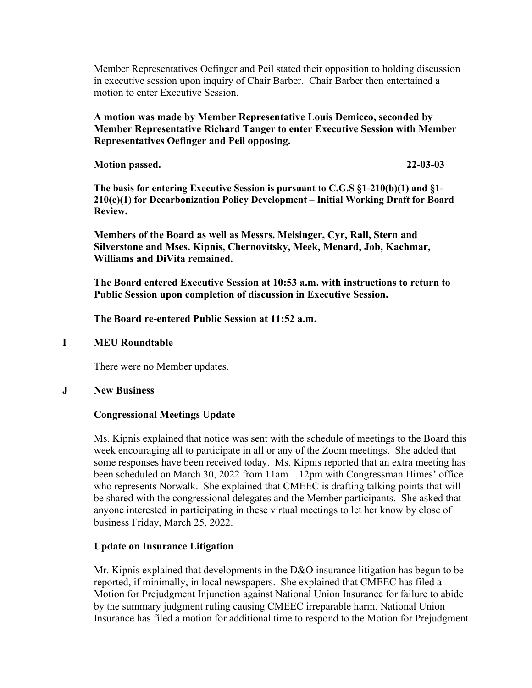Member Representatives Oefinger and Peil stated their opposition to holding discussion in executive session upon inquiry of Chair Barber. Chair Barber then entertained a motion to enter Executive Session.

# **A motion was made by Member Representative Louis Demicco, seconded by Member Representative Richard Tanger to enter Executive Session with Member Representatives Oefinger and Peil opposing.**

**Motion passed. 22-03-03**

**The basis for entering Executive Session is pursuant to C.G.S §1-210(b)(1) and §1- 210(e)(1) for Decarbonization Policy Development – Initial Working Draft for Board Review.**

**Members of the Board as well as Messrs. Meisinger, Cyr, Rall, Stern and Silverstone and Mses. Kipnis, Chernovitsky, Meek, Menard, Job, Kachmar, Williams and DiVita remained.**

**The Board entered Executive Session at 10:53 a.m. with instructions to return to Public Session upon completion of discussion in Executive Session.**

**The Board re-entered Public Session at 11:52 a.m.**

#### **I MEU Roundtable**

There were no Member updates.

#### **J New Business**

# **Congressional Meetings Update**

Ms. Kipnis explained that notice was sent with the schedule of meetings to the Board this week encouraging all to participate in all or any of the Zoom meetings. She added that some responses have been received today. Ms. Kipnis reported that an extra meeting has been scheduled on March 30, 2022 from 11am – 12pm with Congressman Himes' office who represents Norwalk. She explained that CMEEC is drafting talking points that will be shared with the congressional delegates and the Member participants. She asked that anyone interested in participating in these virtual meetings to let her know by close of business Friday, March 25, 2022.

# **Update on Insurance Litigation**

Mr. Kipnis explained that developments in the D&O insurance litigation has begun to be reported, if minimally, in local newspapers. She explained that CMEEC has filed a Motion for Prejudgment Injunction against National Union Insurance for failure to abide by the summary judgment ruling causing CMEEC irreparable harm. National Union Insurance has filed a motion for additional time to respond to the Motion for Prejudgment